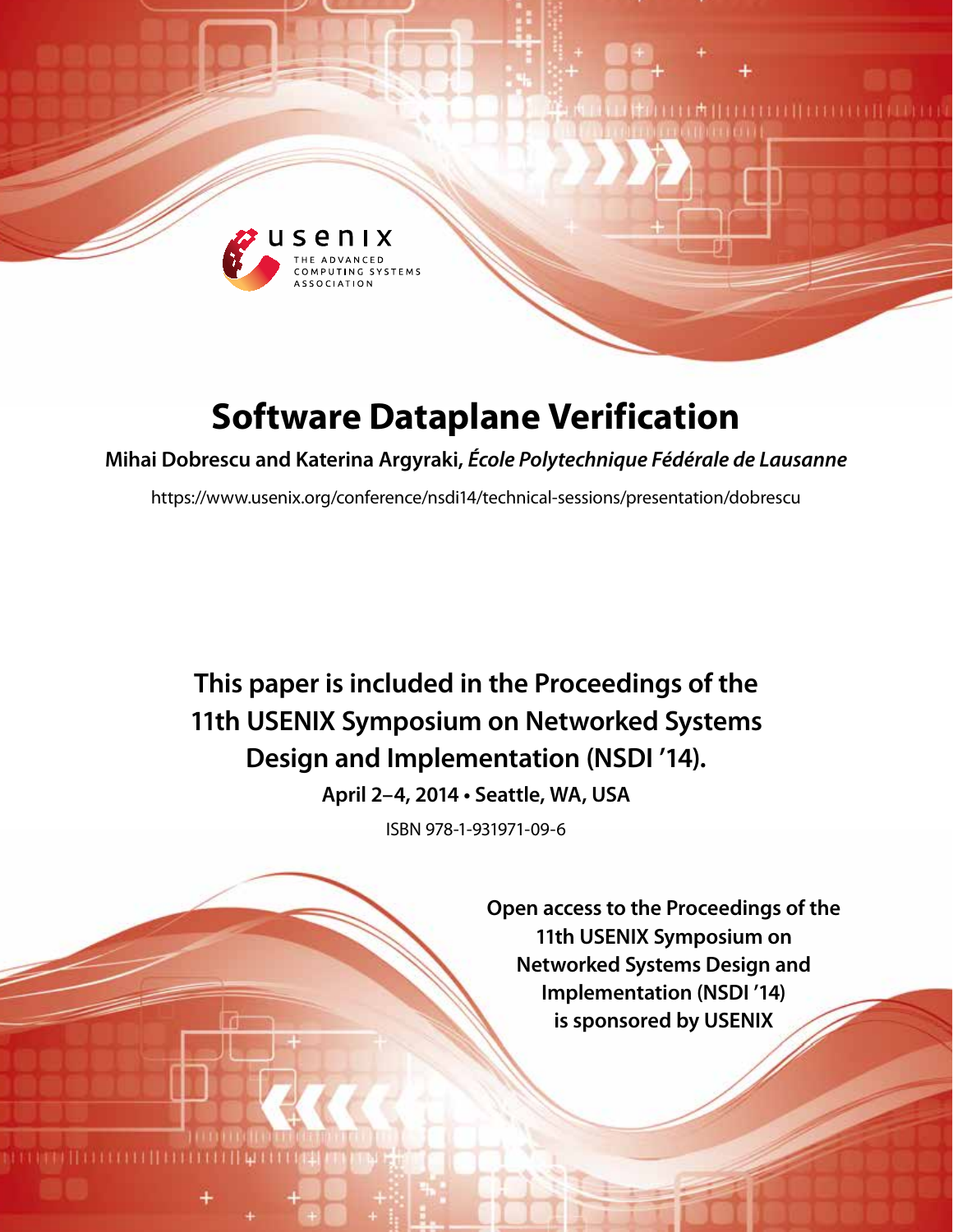

# **Software Dataplane Verification**

**Mihai Dobrescu and Katerina Argyraki,** *École Polytechnique Fédérale de Lausanne*

https://www.usenix.org/conference/nsdi14/technical-sessions/presentation/dobrescu

**This paper is included in the Proceedings of the 11th USENIX Symposium on Networked Systems Design and Implementation (NSDI '14).**

**April 2–4, 2014 • Seattle, WA, USA**

ISBN 978-1-931971-09-6

**Open access to the Proceedings of the 11th USENIX Symposium on Networked Systems Design and Implementation (NSDI '14) is sponsored by USENIX**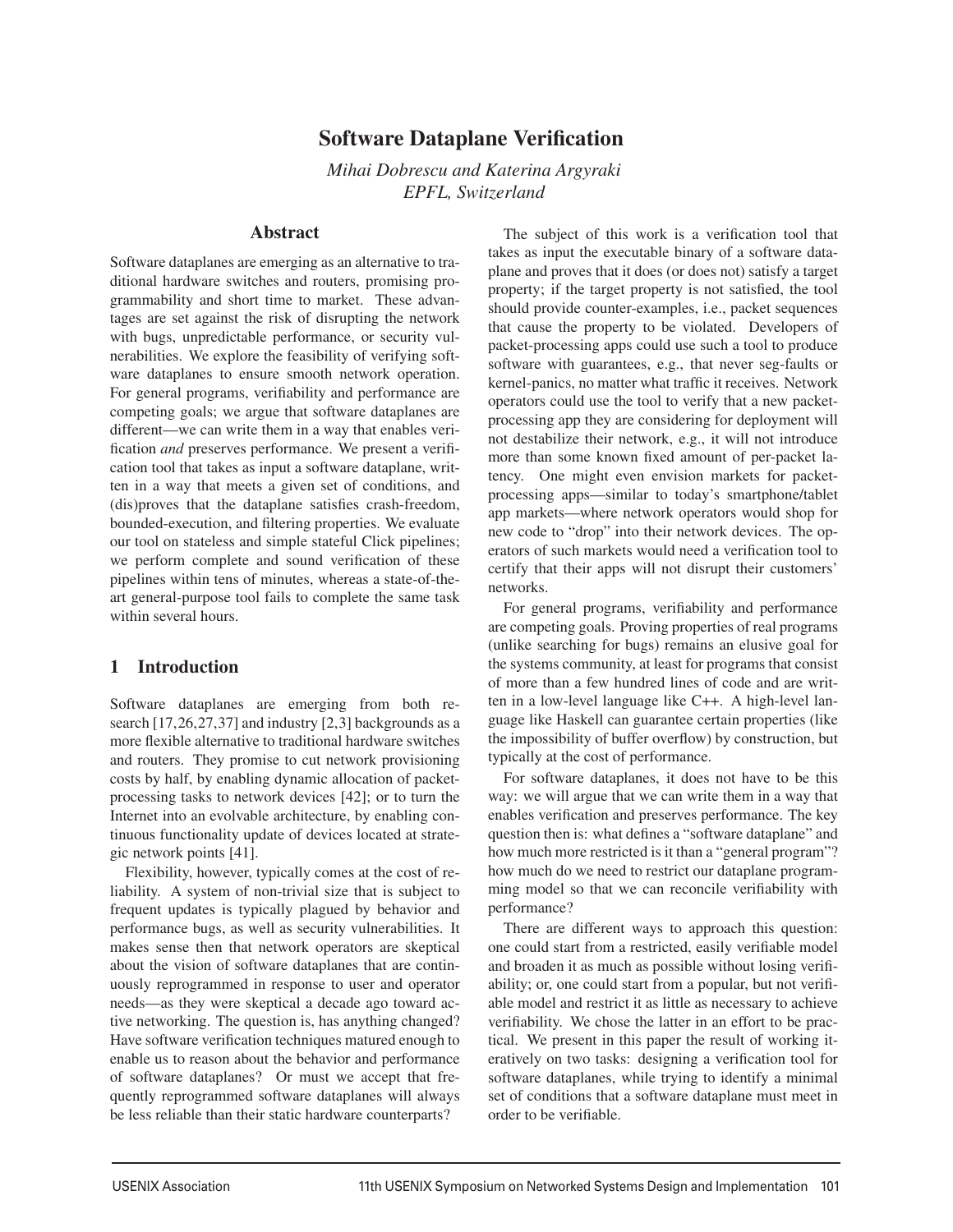# Software Dataplane Verification

*Mihai Dobrescu and Katerina Argyraki EPFL, Switzerland*

## Abstract

Software dataplanes are emerging as an alternative to traditional hardware switches and routers, promising programmability and short time to market. These advantages are set against the risk of disrupting the network with bugs, unpredictable performance, or security vulnerabilities. We explore the feasibility of verifying software dataplanes to ensure smooth network operation. For general programs, verifiability and performance are competing goals; we argue that software dataplanes are different—we can write them in a way that enables verification *and* preserves performance. We present a verification tool that takes as input a software dataplane, written in a way that meets a given set of conditions, and (dis)proves that the dataplane satisfies crash-freedom, bounded-execution, and filtering properties. We evaluate our tool on stateless and simple stateful Click pipelines; we perform complete and sound verification of these pipelines within tens of minutes, whereas a state-of-theart general-purpose tool fails to complete the same task within several hours.

## 1 Introduction

Software dataplanes are emerging from both research [17,26,27,37] and industry [2,3] backgrounds as a more flexible alternative to traditional hardware switches and routers. They promise to cut network provisioning costs by half, by enabling dynamic allocation of packetprocessing tasks to network devices [42]; or to turn the Internet into an evolvable architecture, by enabling continuous functionality update of devices located at strategic network points [41].

Flexibility, however, typically comes at the cost of reliability. A system of non-trivial size that is subject to frequent updates is typically plagued by behavior and performance bugs, as well as security vulnerabilities. It makes sense then that network operators are skeptical about the vision of software dataplanes that are continuously reprogrammed in response to user and operator needs—as they were skeptical a decade ago toward active networking. The question is, has anything changed? Have software verification techniques matured enough to enable us to reason about the behavior and performance of software dataplanes? Or must we accept that frequently reprogrammed software dataplanes will always be less reliable than their static hardware counterparts?

The subject of this work is a verification tool that takes as input the executable binary of a software dataplane and proves that it does (or does not) satisfy a target property; if the target property is not satisfied, the tool should provide counter-examples, i.e., packet sequences that cause the property to be violated. Developers of packet-processing apps could use such a tool to produce software with guarantees, e.g., that never seg-faults or kernel-panics, no matter what traffic it receives. Network operators could use the tool to verify that a new packetprocessing app they are considering for deployment will not destabilize their network, e.g., it will not introduce more than some known fixed amount of per-packet latency. One might even envision markets for packetprocessing apps—similar to today's smartphone/tablet app markets—where network operators would shop for new code to "drop" into their network devices. The operators of such markets would need a verification tool to certify that their apps will not disrupt their customers' networks.

For general programs, verifiability and performance are competing goals. Proving properties of real programs (unlike searching for bugs) remains an elusive goal for the systems community, at least for programs that consist of more than a few hundred lines of code and are written in a low-level language like C++. A high-level language like Haskell can guarantee certain properties (like the impossibility of buffer overflow) by construction, but typically at the cost of performance.

For software dataplanes, it does not have to be this way: we will argue that we can write them in a way that enables verification and preserves performance. The key question then is: what defines a "software dataplane" and how much more restricted is it than a "general program"? how much do we need to restrict our dataplane programming model so that we can reconcile verifiability with performance?

There are different ways to approach this question: one could start from a restricted, easily verifiable model and broaden it as much as possible without losing verifiability; or, one could start from a popular, but not verifiable model and restrict it as little as necessary to achieve verifiability. We chose the latter in an effort to be practical. We present in this paper the result of working iteratively on two tasks: designing a verification tool for software dataplanes, while trying to identify a minimal set of conditions that a software dataplane must meet in order to be verifiable.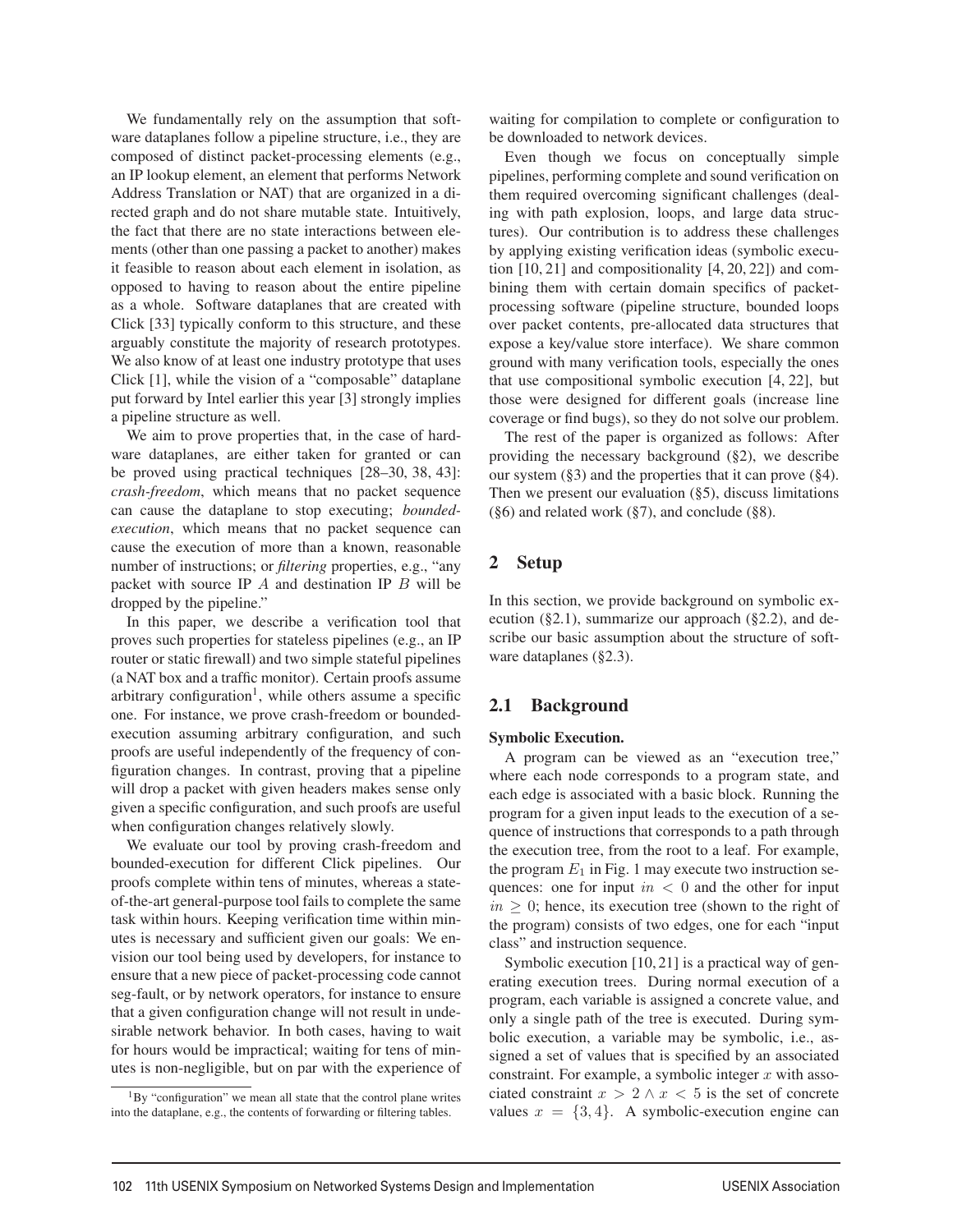We fundamentally rely on the assumption that software dataplanes follow a pipeline structure, i.e., they are composed of distinct packet-processing elements (e.g., an IP lookup element, an element that performs Network Address Translation or NAT) that are organized in a directed graph and do not share mutable state. Intuitively, the fact that there are no state interactions between elements (other than one passing a packet to another) makes it feasible to reason about each element in isolation, as opposed to having to reason about the entire pipeline as a whole. Software dataplanes that are created with Click [33] typically conform to this structure, and these arguably constitute the majority of research prototypes. We also know of at least one industry prototype that uses Click [1], while the vision of a "composable" dataplane put forward by Intel earlier this year [3] strongly implies a pipeline structure as well.

We aim to prove properties that, in the case of hardware dataplanes, are either taken for granted or can be proved using practical techniques [28–30, 38, 43]: *crash-freedom*, which means that no packet sequence can cause the dataplane to stop executing; *boundedexecution*, which means that no packet sequence can cause the execution of more than a known, reasonable number of instructions; or *filtering* properties, e.g., "any packet with source IP  $A$  and destination IP  $B$  will be dropped by the pipeline."

In this paper, we describe a verification tool that proves such properties for stateless pipelines (e.g., an IP router or static firewall) and two simple stateful pipelines (a NAT box and a traffic monitor). Certain proofs assume arbitrary configuration<sup>1</sup>, while others assume a specific one. For instance, we prove crash-freedom or boundedexecution assuming arbitrary configuration, and such proofs are useful independently of the frequency of configuration changes. In contrast, proving that a pipeline will drop a packet with given headers makes sense only given a specific configuration, and such proofs are useful when configuration changes relatively slowly.

We evaluate our tool by proving crash-freedom and bounded-execution for different Click pipelines. Our proofs complete within tens of minutes, whereas a stateof-the-art general-purpose tool fails to complete the same task within hours. Keeping verification time within minutes is necessary and sufficient given our goals: We envision our tool being used by developers, for instance to ensure that a new piece of packet-processing code cannot seg-fault, or by network operators, for instance to ensure that a given configuration change will not result in undesirable network behavior. In both cases, having to wait for hours would be impractical; waiting for tens of minutes is non-negligible, but on par with the experience of waiting for compilation to complete or configuration to be downloaded to network devices.

Even though we focus on conceptually simple pipelines, performing complete and sound verification on them required overcoming significant challenges (dealing with path explosion, loops, and large data structures). Our contribution is to address these challenges by applying existing verification ideas (symbolic execution [10, 21] and compositionality [4, 20, 22]) and combining them with certain domain specifics of packetprocessing software (pipeline structure, bounded loops over packet contents, pre-allocated data structures that expose a key/value store interface). We share common ground with many verification tools, especially the ones that use compositional symbolic execution [4, 22], but those were designed for different goals (increase line coverage or find bugs), so they do not solve our problem.

The rest of the paper is organized as follows: After providing the necessary background (§2), we describe our system (§3) and the properties that it can prove (§4). Then we present our evaluation  $(\S 5)$ , discuss limitations (§6) and related work (§7), and conclude (§8).

## 2 Setup

In this section, we provide background on symbolic execution  $(\S 2.1)$ , summarize our approach  $(\S 2.2)$ , and describe our basic assumption about the structure of software dataplanes (§2.3).

# 2.1 Background

#### Symbolic Execution.

A program can be viewed as an "execution tree," where each node corresponds to a program state, and each edge is associated with a basic block. Running the program for a given input leads to the execution of a sequence of instructions that corresponds to a path through the execution tree, from the root to a leaf. For example, the program  $E_1$  in Fig. 1 may execute two instruction sequences: one for input  $in < 0$  and the other for input  $in \geq 0$ ; hence, its execution tree (shown to the right of the program) consists of two edges, one for each "input class" and instruction sequence.

Symbolic execution [10, 21] is a practical way of generating execution trees. During normal execution of a program, each variable is assigned a concrete value, and only a single path of the tree is executed. During symbolic execution, a variable may be symbolic, i.e., assigned a set of values that is specified by an associated constraint. For example, a symbolic integer  $x$  with associated constraint  $x > 2 \land x < 5$  is the set of concrete values  $x = \{3, 4\}$ . A symbolic-execution engine can

<sup>&</sup>lt;sup>1</sup>By "configuration" we mean all state that the control plane writes into the dataplane, e.g., the contents of forwarding or filtering tables.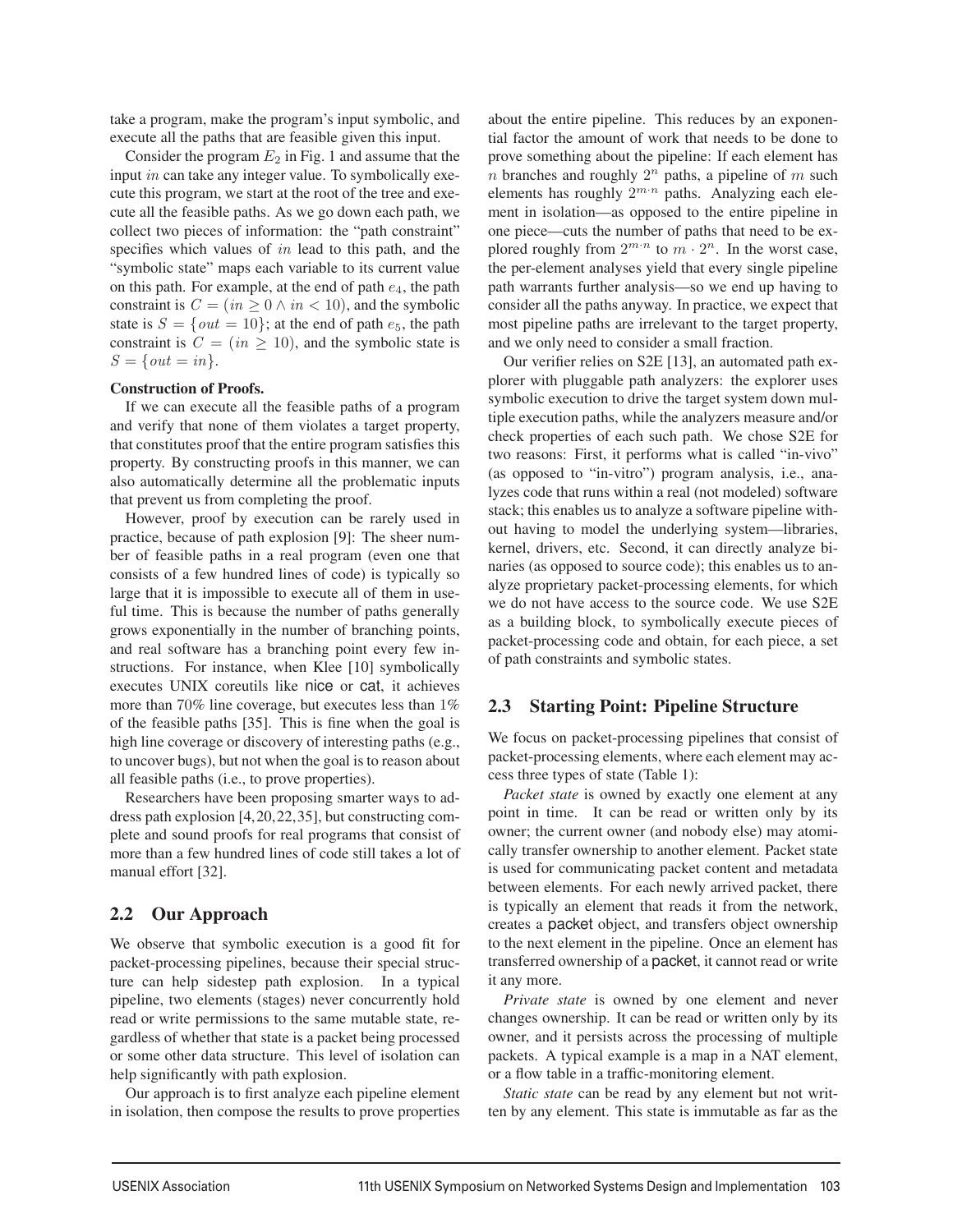take a program, make the program's input symbolic, and execute all the paths that are feasible given this input.

Consider the program  $E_2$  in Fig. 1 and assume that the input in can take any integer value. To symbolically execute this program, we start at the root of the tree and execute all the feasible paths. As we go down each path, we collect two pieces of information: the "path constraint" specifies which values of in lead to this path, and the "symbolic state" maps each variable to its current value on this path. For example, at the end of path  $e_4$ , the path constraint is  $C = (in \geq 0 \land in < 10)$ , and the symbolic state is  $S = \{out = 10\}$ ; at the end of path  $e_5$ , the path constraint is  $C = (in \ge 10)$ , and the symbolic state is  $S = \{ out = in \}.$ 

#### Construction of Proofs.

If we can execute all the feasible paths of a program and verify that none of them violates a target property, that constitutes proof that the entire program satisfies this property. By constructing proofs in this manner, we can also automatically determine all the problematic inputs that prevent us from completing the proof.

However, proof by execution can be rarely used in practice, because of path explosion [9]: The sheer number of feasible paths in a real program (even one that consists of a few hundred lines of code) is typically so large that it is impossible to execute all of them in useful time. This is because the number of paths generally grows exponentially in the number of branching points, and real software has a branching point every few instructions. For instance, when Klee [10] symbolically executes UNIX coreutils like nice or cat, it achieves more than 70% line coverage, but executes less than 1% of the feasible paths [35]. This is fine when the goal is high line coverage or discovery of interesting paths (e.g., to uncover bugs), but not when the goal is to reason about all feasible paths (i.e., to prove properties).

Researchers have been proposing smarter ways to address path explosion [4,20,22,35], but constructing complete and sound proofs for real programs that consist of more than a few hundred lines of code still takes a lot of manual effort [32].

## 2.2 Our Approach

We observe that symbolic execution is a good fit for packet-processing pipelines, because their special structure can help sidestep path explosion. In a typical pipeline, two elements (stages) never concurrently hold read or write permissions to the same mutable state, regardless of whether that state is a packet being processed or some other data structure. This level of isolation can help significantly with path explosion.

Our approach is to first analyze each pipeline element in isolation, then compose the results to prove properties about the entire pipeline. This reduces by an exponential factor the amount of work that needs to be done to prove something about the pipeline: If each element has n branches and roughly  $2^n$  paths, a pipeline of m such elements has roughly  $2^{m \cdot n}$  paths. Analyzing each element in isolation—as opposed to the entire pipeline in one piece—cuts the number of paths that need to be explored roughly from  $2^{m \cdot n}$  to  $m \cdot 2^n$ . In the worst case, the per-element analyses yield that every single pipeline path warrants further analysis—so we end up having to consider all the paths anyway. In practice, we expect that most pipeline paths are irrelevant to the target property, and we only need to consider a small fraction.

Our verifier relies on S2E [13], an automated path explorer with pluggable path analyzers: the explorer uses symbolic execution to drive the target system down multiple execution paths, while the analyzers measure and/or check properties of each such path. We chose S2E for two reasons: First, it performs what is called "in-vivo" (as opposed to "in-vitro") program analysis, i.e., analyzes code that runs within a real (not modeled) software stack; this enables us to analyze a software pipeline without having to model the underlying system—libraries, kernel, drivers, etc. Second, it can directly analyze binaries (as opposed to source code); this enables us to analyze proprietary packet-processing elements, for which we do not have access to the source code. We use S2E as a building block, to symbolically execute pieces of packet-processing code and obtain, for each piece, a set of path constraints and symbolic states.

## 2.3 Starting Point: Pipeline Structure

We focus on packet-processing pipelines that consist of packet-processing elements, where each element may access three types of state (Table 1):

*Packet state* is owned by exactly one element at any point in time. It can be read or written only by its owner; the current owner (and nobody else) may atomically transfer ownership to another element. Packet state is used for communicating packet content and metadata between elements. For each newly arrived packet, there is typically an element that reads it from the network, creates a packet object, and transfers object ownership to the next element in the pipeline. Once an element has transferred ownership of a packet, it cannot read or write it any more.

*Private state* is owned by one element and never changes ownership. It can be read or written only by its owner, and it persists across the processing of multiple packets. A typical example is a map in a NAT element, or a flow table in a traffic-monitoring element.

*Static state* can be read by any element but not written by any element. This state is immutable as far as the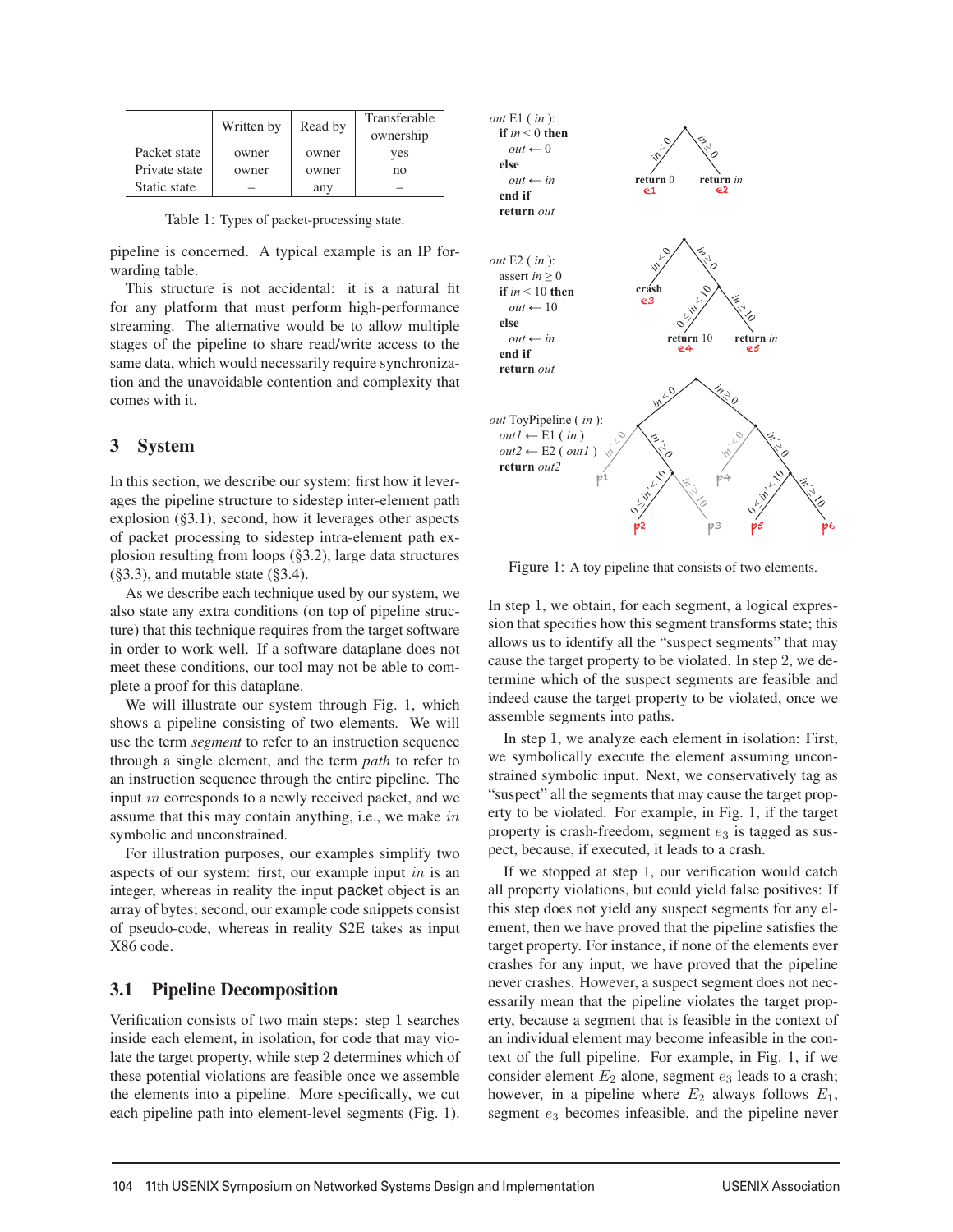|               | Written by | Read by | Transferable<br>ownership |
|---------------|------------|---------|---------------------------|
| Packet state  | owner      | owner   | yes                       |
| Private state | owner      | owner   | no                        |
| Static state  |            | any     |                           |

Table 1: Types of packet-processing state.

pipeline is concerned. A typical example is an IP forwarding table.

This structure is not accidental: it is a natural fit for any platform that must perform high-performance streaming. The alternative would be to allow multiple stages of the pipeline to share read/write access to the same data, which would necessarily require synchronization and the unavoidable contention and complexity that comes with it.

## 3 System

In this section, we describe our system: first how it leverages the pipeline structure to sidestep inter-element path explosion (§3.1); second, how it leverages other aspects of packet processing to sidestep intra-element path explosion resulting from loops (§3.2), large data structures  $(\S 3.3)$ , and mutable state  $(\S 3.4)$ .

As we describe each technique used by our system, we also state any extra conditions (on top of pipeline structure) that this technique requires from the target software in order to work well. If a software dataplane does not meet these conditions, our tool may not be able to complete a proof for this dataplane.

We will illustrate our system through Fig. 1, which shows a pipeline consisting of two elements. We will use the term *segment* to refer to an instruction sequence through a single element, and the term *path* to refer to an instruction sequence through the entire pipeline. The input in corresponds to a newly received packet, and we assume that this may contain anything, i.e., we make in symbolic and unconstrained.

For illustration purposes, our examples simplify two aspects of our system: first, our example input in is an integer, whereas in reality the input packet object is an array of bytes; second, our example code snippets consist of pseudo-code, whereas in reality S2E takes as input X86 code.

## 3.1 Pipeline Decomposition

Verification consists of two main steps: step 1 searches inside each element, in isolation, for code that may violate the target property, while step 2 determines which of these potential violations are feasible once we assemble the elements into a pipeline. More specifically, we cut each pipeline path into element-level segments (Fig. 1).



Figure 1: A toy pipeline that consists of two elements.

In step 1, we obtain, for each segment, a logical expression that specifies how this segment transforms state; this allows us to identify all the "suspect segments" that may cause the target property to be violated. In step 2, we determine which of the suspect segments are feasible and indeed cause the target property to be violated, once we assemble segments into paths.

In step 1, we analyze each element in isolation: First, we symbolically execute the element assuming unconstrained symbolic input. Next, we conservatively tag as "suspect" all the segments that may cause the target property to be violated. For example, in Fig. 1, if the target property is crash-freedom, segment  $e_3$  is tagged as suspect, because, if executed, it leads to a crash.

If we stopped at step 1, our verification would catch all property violations, but could yield false positives: If this step does not yield any suspect segments for any element, then we have proved that the pipeline satisfies the target property. For instance, if none of the elements ever crashes for any input, we have proved that the pipeline never crashes. However, a suspect segment does not necessarily mean that the pipeline violates the target property, because a segment that is feasible in the context of an individual element may become infeasible in the context of the full pipeline. For example, in Fig. 1, if we consider element  $E_2$  alone, segment  $e_3$  leads to a crash; however, in a pipeline where  $E_2$  always follows  $E_1$ , segment  $e_3$  becomes infeasible, and the pipeline never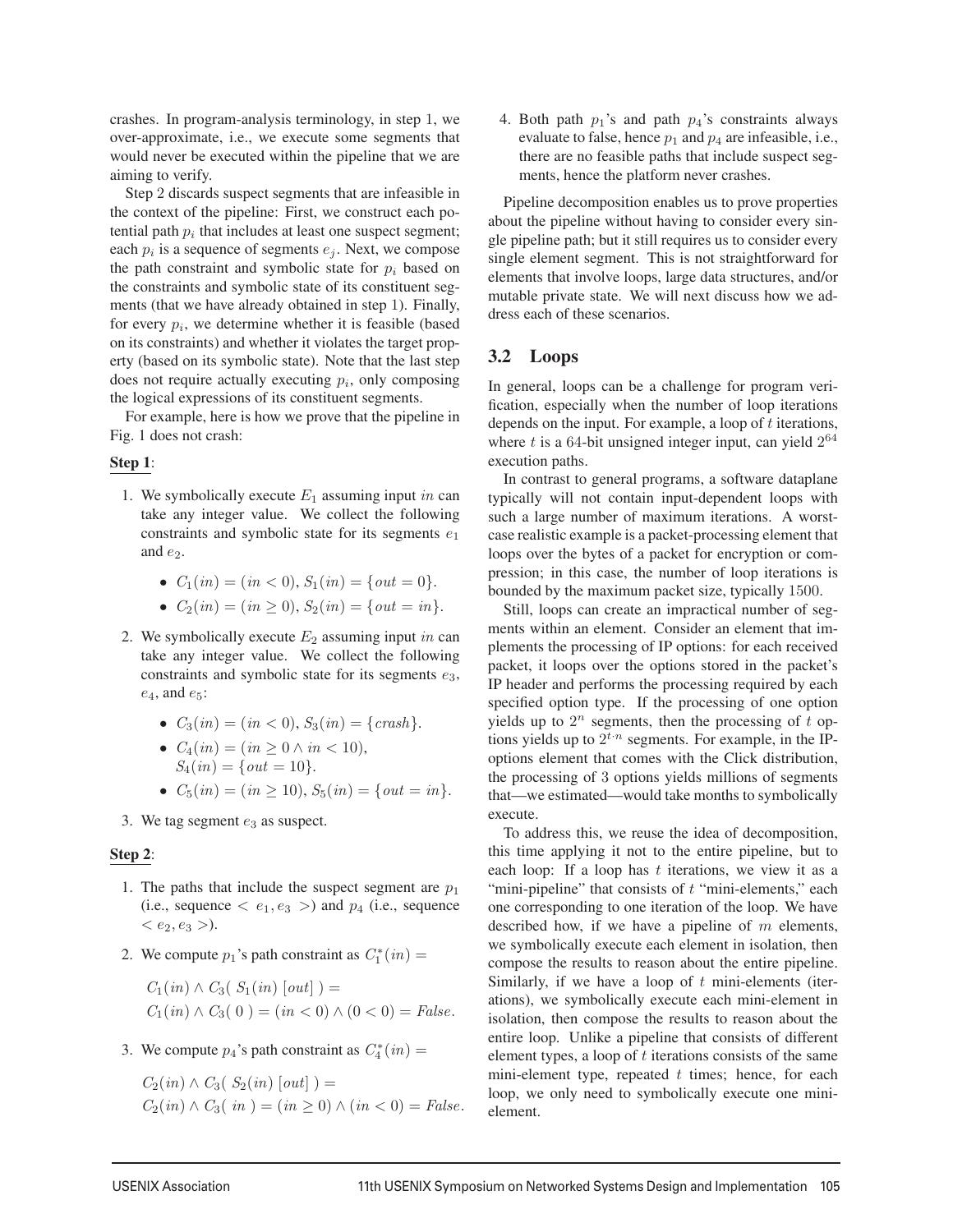crashes. In program-analysis terminology, in step 1, we over-approximate, i.e., we execute some segments that would never be executed within the pipeline that we are aiming to verify.

Step 2 discards suspect segments that are infeasible in the context of the pipeline: First, we construct each potential path  $p_i$  that includes at least one suspect segment; each  $p_i$  is a sequence of segments  $e_i$ . Next, we compose the path constraint and symbolic state for  $p_i$  based on the constraints and symbolic state of its constituent segments (that we have already obtained in step 1). Finally, for every  $p_i$ , we determine whether it is feasible (based on its constraints) and whether it violates the target property (based on its symbolic state). Note that the last step does not require actually executing  $p_i$ , only composing the logical expressions of its constituent segments.

For example, here is how we prove that the pipeline in Fig. 1 does not crash:

#### Step 1:

- 1. We symbolically execute  $E_1$  assuming input in can take any integer value. We collect the following constraints and symbolic state for its segments  $e_1$ and  $e_2$ .
	- $C_1(in) = (in < 0), S_1(in) = \{out = 0\}.$
	- $C_2(in) = (in \ge 0), S_2(in) = \{out = in\}.$
- 2. We symbolically execute  $E_2$  assuming input in can take any integer value. We collect the following constraints and symbolic state for its segments  $e_3$ ,  $e_4$ , and  $e_5$ :
	- $C_3(in) = (in < 0), S_3(in) = \{crash\}.$
	- $C_4(in) = (in > 0 \land in < 10)$ ,  $S_4(in) = \{out = 10\}.$
	- $C_5(in) = (in > 10), S_5(in) = \{out = in\}.$
- 3. We tag segment  $e_3$  as suspect.

## Step 2:

- 1. The paths that include the suspect segment are  $p_1$ (i.e., sequence  $\langle e_1, e_3 \rangle$ ) and  $p_4$  (i.e., sequence  $< e_2, e_3 >$ ).
- 2. We compute  $p_1$ 's path constraint as  $C_1^*(in)$  =

 $C_1(in) \wedge C_3(S_1(in) [out]) =$  $C_1(in) \wedge C_3(0) = (in < 0) \wedge (0 < 0) = False.$ 

3. We compute  $p_4$ 's path constraint as  $C_4^*(in)$  =

 $C_2(in) \wedge C_3(S_2(in) [out]) =$  $C_2(in) \wedge C_3(in) = (in > 0) \wedge (in < 0) = False.$  4. Both path  $p_1$ 's and path  $p_4$ 's constraints always evaluate to false, hence  $p_1$  and  $p_4$  are infeasible, i.e., there are no feasible paths that include suspect segments, hence the platform never crashes.

Pipeline decomposition enables us to prove properties about the pipeline without having to consider every single pipeline path; but it still requires us to consider every single element segment. This is not straightforward for elements that involve loops, large data structures, and/or mutable private state. We will next discuss how we address each of these scenarios.

## 3.2 Loops

In general, loops can be a challenge for program verification, especially when the number of loop iterations depends on the input. For example, a loop of  $t$  iterations, where t is a 64-bit unsigned integer input, can yield  $2^{64}$ execution paths.

In contrast to general programs, a software dataplane typically will not contain input-dependent loops with such a large number of maximum iterations. A worstcase realistic example is a packet-processing element that loops over the bytes of a packet for encryption or compression; in this case, the number of loop iterations is bounded by the maximum packet size, typically 1500.

Still, loops can create an impractical number of segments within an element. Consider an element that implements the processing of IP options: for each received packet, it loops over the options stored in the packet's IP header and performs the processing required by each specified option type. If the processing of one option yields up to  $2^n$  segments, then the processing of t options yields up to  $2^{t \cdot n}$  segments. For example, in the IPoptions element that comes with the Click distribution, the processing of 3 options yields millions of segments that—we estimated—would take months to symbolically execute.

To address this, we reuse the idea of decomposition, this time applying it not to the entire pipeline, but to each loop: If a loop has  $t$  iterations, we view it as a "mini-pipeline" that consists of  $t$  "mini-elements," each one corresponding to one iteration of the loop. We have described how, if we have a pipeline of  $m$  elements, we symbolically execute each element in isolation, then compose the results to reason about the entire pipeline. Similarly, if we have a loop of  $t$  mini-elements (iterations), we symbolically execute each mini-element in isolation, then compose the results to reason about the entire loop. Unlike a pipeline that consists of different element types, a loop of  $t$  iterations consists of the same mini-element type, repeated  $t$  times; hence, for each loop, we only need to symbolically execute one minielement.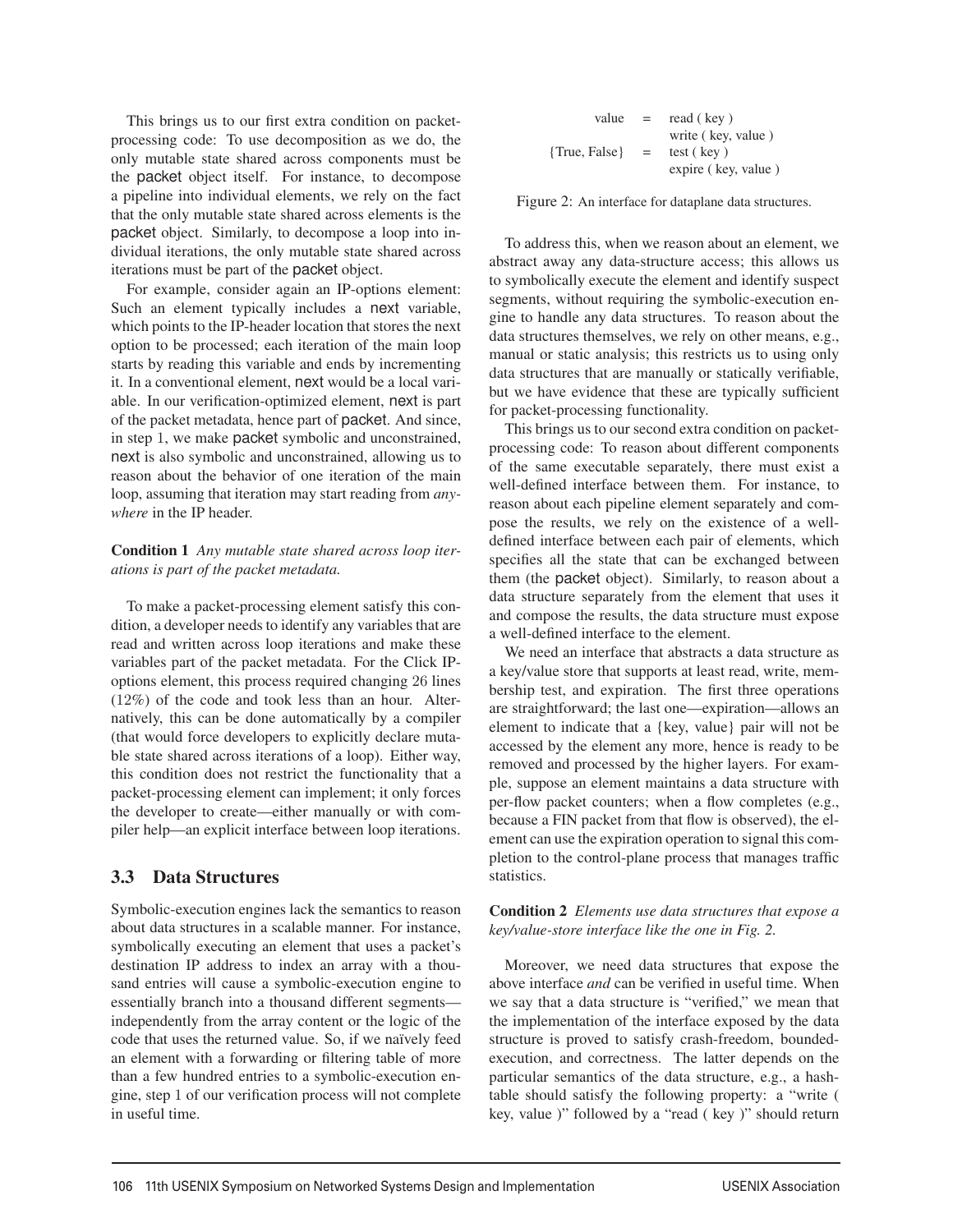This brings us to our first extra condition on packetprocessing code: To use decomposition as we do, the only mutable state shared across components must be the packet object itself. For instance, to decompose a pipeline into individual elements, we rely on the fact that the only mutable state shared across elements is the packet object. Similarly, to decompose a loop into individual iterations, the only mutable state shared across iterations must be part of the packet object.

For example, consider again an IP-options element: Such an element typically includes a next variable, which points to the IP-header location that stores the next option to be processed; each iteration of the main loop starts by reading this variable and ends by incrementing it. In a conventional element, next would be a local variable. In our verification-optimized element, next is part of the packet metadata, hence part of packet. And since, in step 1, we make packet symbolic and unconstrained, next is also symbolic and unconstrained, allowing us to reason about the behavior of one iteration of the main loop, assuming that iteration may start reading from *anywhere* in the IP header.

## Condition 1 *Any mutable state shared across loop iterations is part of the packet metadata.*

To make a packet-processing element satisfy this condition, a developer needs to identify any variables that are read and written across loop iterations and make these variables part of the packet metadata. For the Click IPoptions element, this process required changing 26 lines (12%) of the code and took less than an hour. Alternatively, this can be done automatically by a compiler (that would force developers to explicitly declare mutable state shared across iterations of a loop). Either way, this condition does not restrict the functionality that a packet-processing element can implement; it only forces the developer to create—either manually or with compiler help—an explicit interface between loop iterations.

## 3.3 Data Structures

Symbolic-execution engines lack the semantics to reason about data structures in a scalable manner. For instance, symbolically executing an element that uses a packet's destination IP address to index an array with a thousand entries will cause a symbolic-execution engine to essentially branch into a thousand different segments independently from the array content or the logic of the code that uses the returned value. So, if we naïvely feed an element with a forwarding or filtering table of more than a few hundred entries to a symbolic-execution engine, step 1 of our verification process will not complete in useful time.

| value         | $=$ | read (key)          |
|---------------|-----|---------------------|
|               |     | write (key, value)  |
| {True, False} | $=$ | test (key)          |
|               |     | expire (key, value) |

Figure 2: An interface for dataplane data structures.

To address this, when we reason about an element, we abstract away any data-structure access; this allows us to symbolically execute the element and identify suspect segments, without requiring the symbolic-execution engine to handle any data structures. To reason about the data structures themselves, we rely on other means, e.g., manual or static analysis; this restricts us to using only data structures that are manually or statically verifiable, but we have evidence that these are typically sufficient for packet-processing functionality.

This brings us to our second extra condition on packetprocessing code: To reason about different components of the same executable separately, there must exist a well-defined interface between them. For instance, to reason about each pipeline element separately and compose the results, we rely on the existence of a welldefined interface between each pair of elements, which specifies all the state that can be exchanged between them (the packet object). Similarly, to reason about a data structure separately from the element that uses it and compose the results, the data structure must expose a well-defined interface to the element.

We need an interface that abstracts a data structure as a key/value store that supports at least read, write, membership test, and expiration. The first three operations are straightforward; the last one—expiration—allows an element to indicate that a {key, value} pair will not be accessed by the element any more, hence is ready to be removed and processed by the higher layers. For example, suppose an element maintains a data structure with per-flow packet counters; when a flow completes (e.g., because a FIN packet from that flow is observed), the element can use the expiration operation to signal this completion to the control-plane process that manages traffic statistics.

## Condition 2 *Elements use data structures that expose a key/value-store interface like the one in Fig. 2.*

Moreover, we need data structures that expose the above interface *and* can be verified in useful time. When we say that a data structure is "verified," we mean that the implementation of the interface exposed by the data structure is proved to satisfy crash-freedom, boundedexecution, and correctness. The latter depends on the particular semantics of the data structure, e.g., a hashtable should satisfy the following property: a "write ( key, value )" followed by a "read ( key )" should return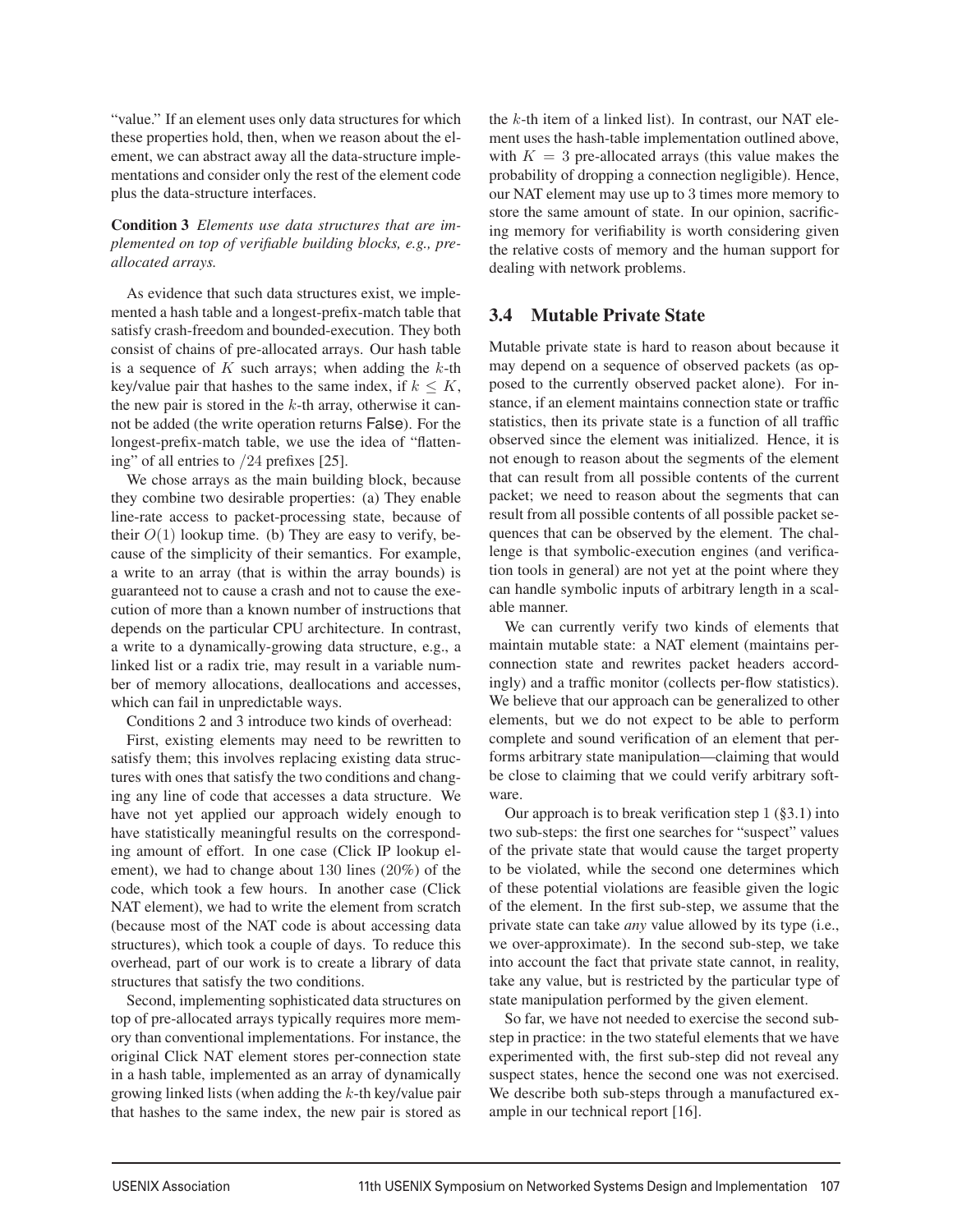"value." If an element uses only data structures for which these properties hold, then, when we reason about the element, we can abstract away all the data-structure implementations and consider only the rest of the element code plus the data-structure interfaces.

## Condition 3 *Elements use data structures that are implemented on top of verifiable building blocks, e.g., preallocated arrays.*

As evidence that such data structures exist, we implemented a hash table and a longest-prefix-match table that satisfy crash-freedom and bounded-execution. They both consist of chains of pre-allocated arrays. Our hash table is a sequence of  $K$  such arrays; when adding the  $k$ -th key/value pair that hashes to the same index, if  $k \leq K$ , the new pair is stored in the  $k$ -th array, otherwise it cannot be added (the write operation returns False). For the longest-prefix-match table, we use the idea of "flattening" of all entries to /24 prefixes [25].

We chose arrays as the main building block, because they combine two desirable properties: (a) They enable line-rate access to packet-processing state, because of their  $O(1)$  lookup time. (b) They are easy to verify, because of the simplicity of their semantics. For example, a write to an array (that is within the array bounds) is guaranteed not to cause a crash and not to cause the execution of more than a known number of instructions that depends on the particular CPU architecture. In contrast, a write to a dynamically-growing data structure, e.g., a linked list or a radix trie, may result in a variable number of memory allocations, deallocations and accesses, which can fail in unpredictable ways.

Conditions 2 and 3 introduce two kinds of overhead:

First, existing elements may need to be rewritten to satisfy them; this involves replacing existing data structures with ones that satisfy the two conditions and changing any line of code that accesses a data structure. We have not yet applied our approach widely enough to have statistically meaningful results on the corresponding amount of effort. In one case (Click IP lookup element), we had to change about 130 lines (20%) of the code, which took a few hours. In another case (Click NAT element), we had to write the element from scratch (because most of the NAT code is about accessing data structures), which took a couple of days. To reduce this overhead, part of our work is to create a library of data structures that satisfy the two conditions.

Second, implementing sophisticated data structures on top of pre-allocated arrays typically requires more memory than conventional implementations. For instance, the original Click NAT element stores per-connection state in a hash table, implemented as an array of dynamically growing linked lists (when adding the  $k$ -th key/value pair that hashes to the same index, the new pair is stored as the  $k$ -th item of a linked list). In contrast, our NAT element uses the hash-table implementation outlined above, with  $K = 3$  pre-allocated arrays (this value makes the probability of dropping a connection negligible). Hence, our NAT element may use up to 3 times more memory to store the same amount of state. In our opinion, sacrificing memory for verifiability is worth considering given the relative costs of memory and the human support for dealing with network problems.

## 3.4 Mutable Private State

Mutable private state is hard to reason about because it may depend on a sequence of observed packets (as opposed to the currently observed packet alone). For instance, if an element maintains connection state or traffic statistics, then its private state is a function of all traffic observed since the element was initialized. Hence, it is not enough to reason about the segments of the element that can result from all possible contents of the current packet; we need to reason about the segments that can result from all possible contents of all possible packet sequences that can be observed by the element. The challenge is that symbolic-execution engines (and verification tools in general) are not yet at the point where they can handle symbolic inputs of arbitrary length in a scalable manner.

We can currently verify two kinds of elements that maintain mutable state: a NAT element (maintains perconnection state and rewrites packet headers accordingly) and a traffic monitor (collects per-flow statistics). We believe that our approach can be generalized to other elements, but we do not expect to be able to perform complete and sound verification of an element that performs arbitrary state manipulation—claiming that would be close to claiming that we could verify arbitrary software.

Our approach is to break verification step  $1$  (§3.1) into two sub-steps: the first one searches for "suspect" values of the private state that would cause the target property to be violated, while the second one determines which of these potential violations are feasible given the logic of the element. In the first sub-step, we assume that the private state can take *any* value allowed by its type (i.e., we over-approximate). In the second sub-step, we take into account the fact that private state cannot, in reality, take any value, but is restricted by the particular type of state manipulation performed by the given element.

So far, we have not needed to exercise the second substep in practice: in the two stateful elements that we have experimented with, the first sub-step did not reveal any suspect states, hence the second one was not exercised. We describe both sub-steps through a manufactured example in our technical report [16].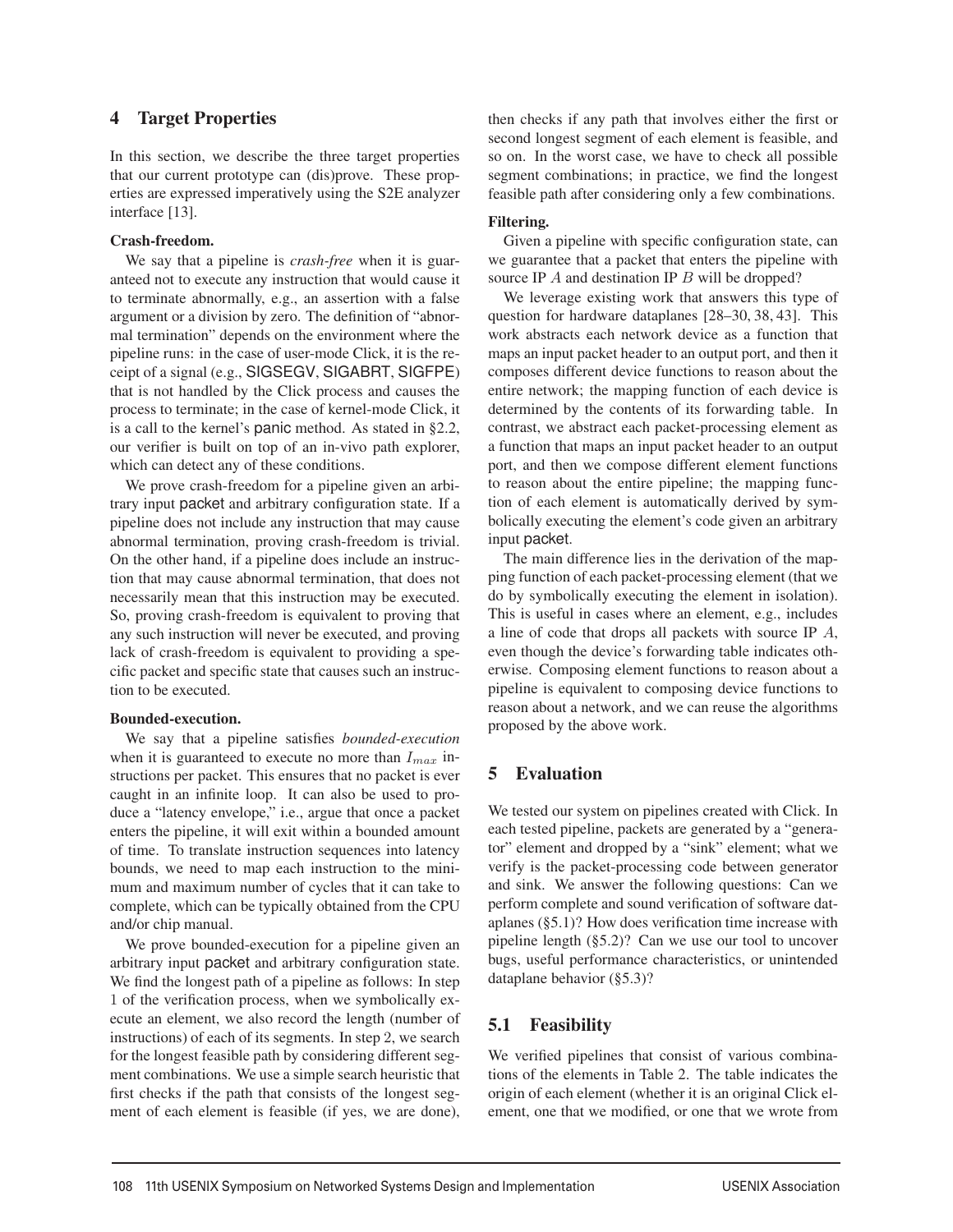## 4 Target Properties

In this section, we describe the three target properties that our current prototype can (dis)prove. These properties are expressed imperatively using the S2E analyzer interface [13].

## Crash-freedom.

We say that a pipeline is *crash-free* when it is guaranteed not to execute any instruction that would cause it to terminate abnormally, e.g., an assertion with a false argument or a division by zero. The definition of "abnormal termination" depends on the environment where the pipeline runs: in the case of user-mode Click, it is the receipt of a signal (e.g., SIGSEGV, SIGABRT, SIGFPE) that is not handled by the Click process and causes the process to terminate; in the case of kernel-mode Click, it is a call to the kernel's panic method. As stated in §2.2, our verifier is built on top of an in-vivo path explorer, which can detect any of these conditions.

We prove crash-freedom for a pipeline given an arbitrary input packet and arbitrary configuration state. If a pipeline does not include any instruction that may cause abnormal termination, proving crash-freedom is trivial. On the other hand, if a pipeline does include an instruction that may cause abnormal termination, that does not necessarily mean that this instruction may be executed. So, proving crash-freedom is equivalent to proving that any such instruction will never be executed, and proving lack of crash-freedom is equivalent to providing a specific packet and specific state that causes such an instruction to be executed.

## Bounded-execution.

We say that a pipeline satisfies *bounded-execution* when it is guaranteed to execute no more than  $I_{max}$  instructions per packet. This ensures that no packet is ever caught in an infinite loop. It can also be used to produce a "latency envelope," i.e., argue that once a packet enters the pipeline, it will exit within a bounded amount of time. To translate instruction sequences into latency bounds, we need to map each instruction to the minimum and maximum number of cycles that it can take to complete, which can be typically obtained from the CPU and/or chip manual.

We prove bounded-execution for a pipeline given an arbitrary input packet and arbitrary configuration state. We find the longest path of a pipeline as follows: In step 1 of the verification process, when we symbolically execute an element, we also record the length (number of instructions) of each of its segments. In step 2, we search for the longest feasible path by considering different segment combinations. We use a simple search heuristic that first checks if the path that consists of the longest segment of each element is feasible (if yes, we are done),

then checks if any path that involves either the first or second longest segment of each element is feasible, and so on. In the worst case, we have to check all possible segment combinations; in practice, we find the longest feasible path after considering only a few combinations.

## Filtering.

Given a pipeline with specific configuration state, can we guarantee that a packet that enters the pipeline with source IP A and destination IP B will be dropped?

We leverage existing work that answers this type of question for hardware dataplanes [28–30, 38, 43]. This work abstracts each network device as a function that maps an input packet header to an output port, and then it composes different device functions to reason about the entire network; the mapping function of each device is determined by the contents of its forwarding table. In contrast, we abstract each packet-processing element as a function that maps an input packet header to an output port, and then we compose different element functions to reason about the entire pipeline; the mapping function of each element is automatically derived by symbolically executing the element's code given an arbitrary input packet.

The main difference lies in the derivation of the mapping function of each packet-processing element (that we do by symbolically executing the element in isolation). This is useful in cases where an element, e.g., includes a line of code that drops all packets with source IP  $A$ , even though the device's forwarding table indicates otherwise. Composing element functions to reason about a pipeline is equivalent to composing device functions to reason about a network, and we can reuse the algorithms proposed by the above work.

# 5 Evaluation

We tested our system on pipelines created with Click. In each tested pipeline, packets are generated by a "generator" element and dropped by a "sink" element; what we verify is the packet-processing code between generator and sink. We answer the following questions: Can we perform complete and sound verification of software dataplanes (§5.1)? How does verification time increase with pipeline length (§5.2)? Can we use our tool to uncover bugs, useful performance characteristics, or unintended dataplane behavior (§5.3)?

# 5.1 Feasibility

We verified pipelines that consist of various combinations of the elements in Table 2. The table indicates the origin of each element (whether it is an original Click element, one that we modified, or one that we wrote from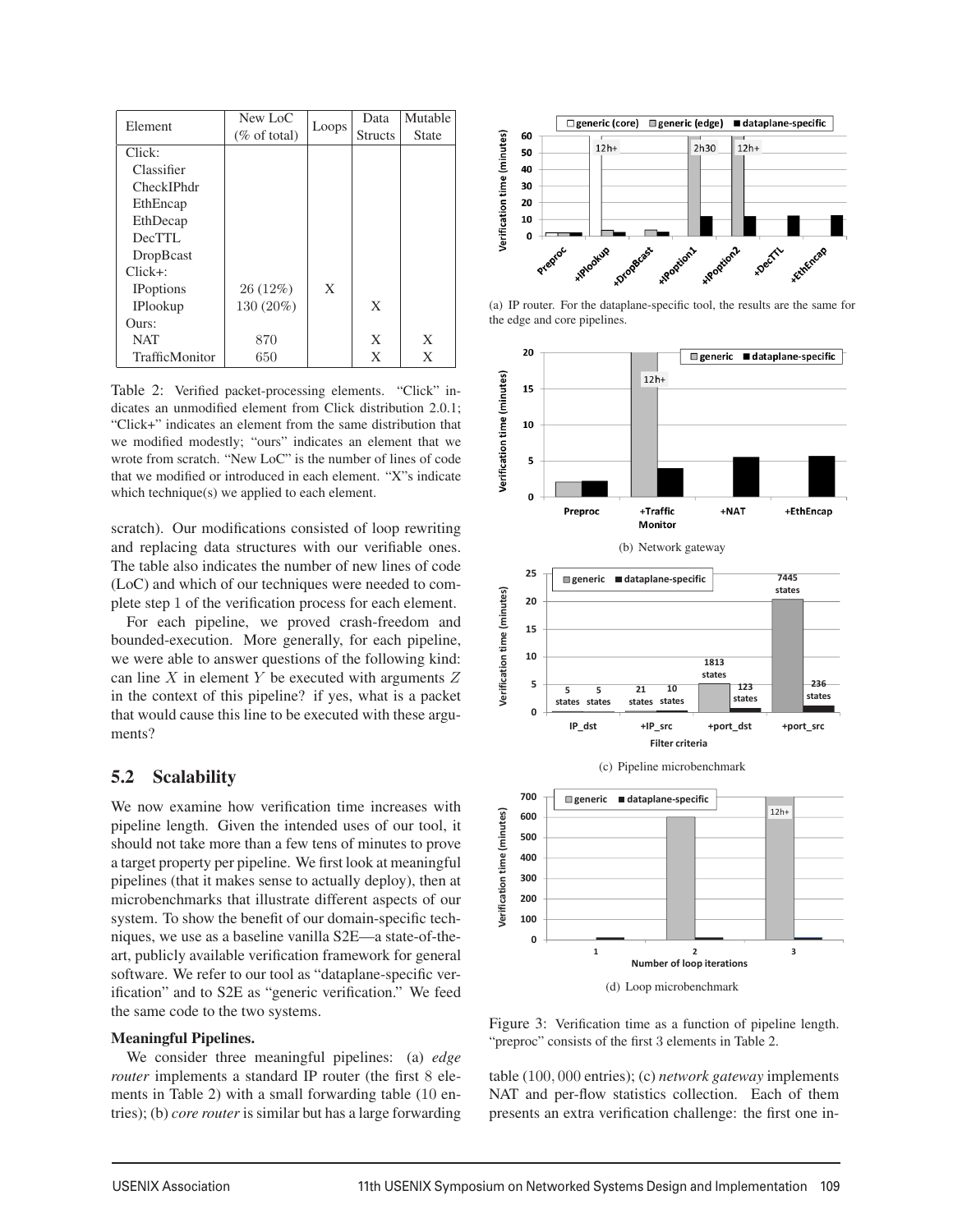| Element               | New LoC                 |       | Data           | Mutable      |
|-----------------------|-------------------------|-------|----------------|--------------|
|                       | $(\% \text{ of total})$ | Loops | <b>Structs</b> | <b>State</b> |
| Click:                |                         |       |                |              |
| Classifier            |                         |       |                |              |
| CheckIPhdr            |                         |       |                |              |
| EthEncap              |                         |       |                |              |
| EthDecap              |                         |       |                |              |
| DecTTL                |                         |       |                |              |
| DropBcast             |                         |       |                |              |
| $Click+$ :            |                         |       |                |              |
| <b>IP</b> options     | 26 (12%)                | X     |                |              |
| <b>IPlookup</b>       | 130 (20%)               |       | X              |              |
| Ours:                 |                         |       |                |              |
| <b>NAT</b>            | 870                     |       | X              | X            |
| <b>TrafficMonitor</b> | 650                     |       | X              | X            |

Table 2: Verified packet-processing elements. "Click" indicates an unmodified element from Click distribution 2.0.1; "Click+" indicates an element from the same distribution that we modified modestly; "ours" indicates an element that we wrote from scratch. "New LoC" is the number of lines of code that we modified or introduced in each element. "X"s indicate which technique(s) we applied to each element.

scratch). Our modifications consisted of loop rewriting and replacing data structures with our verifiable ones. The table also indicates the number of new lines of code (LoC) and which of our techniques were needed to complete step 1 of the verification process for each element.

For each pipeline, we proved crash-freedom and bounded-execution. More generally, for each pipeline, we were able to answer questions of the following kind: can line  $X$  in element  $Y$  be executed with arguments  $Z$ in the context of this pipeline? if yes, what is a packet that would cause this line to be executed with these arguments?

## 5.2 Scalability

We now examine how verification time increases with pipeline length. Given the intended uses of our tool, it should not take more than a few tens of minutes to prove a target property per pipeline. We first look at meaningful pipelines (that it makes sense to actually deploy), then at microbenchmarks that illustrate different aspects of our system. To show the benefit of our domain-specific techniques, we use as a baseline vanilla S2E—a state-of-theart, publicly available verification framework for general software. We refer to our tool as "dataplane-specific verification" and to S2E as "generic verification." We feed the same code to the two systems.

## Meaningful Pipelines.

We consider three meaningful pipelines: (a) *edge router* implements a standard IP router (the first 8 elements in Table 2) with a small forwarding table (10 entries); (b) *core router* is similar but has a large forwarding



(a) IP router. For the dataplane-specific tool, the results are the same for the edge and core pipelines.



Figure 3: Verification time as a function of pipeline length. "preproc" consists of the first 3 elements in Table 2.

table (100, 000 entries); (c) *network gateway* implements NAT and per-flow statistics collection. Each of them presents an extra verification challenge: the first one in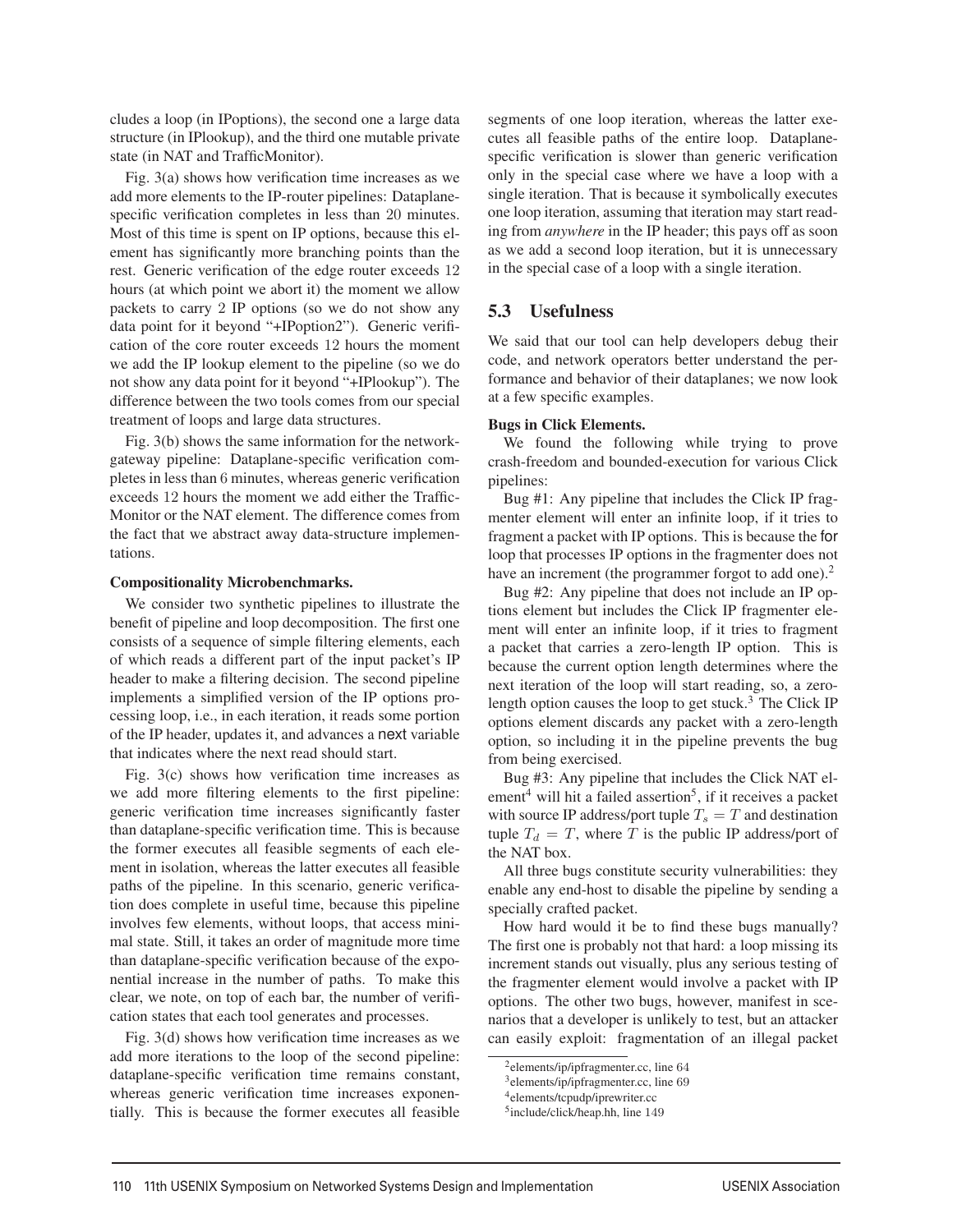cludes a loop (in IPoptions), the second one a large data structure (in IPlookup), and the third one mutable private state (in NAT and TrafficMonitor).

Fig. 3(a) shows how verification time increases as we add more elements to the IP-router pipelines: Dataplanespecific verification completes in less than 20 minutes. Most of this time is spent on IP options, because this element has significantly more branching points than the rest. Generic verification of the edge router exceeds 12 hours (at which point we abort it) the moment we allow packets to carry 2 IP options (so we do not show any data point for it beyond "+IPoption2"). Generic verification of the core router exceeds 12 hours the moment we add the IP lookup element to the pipeline (so we do not show any data point for it beyond "+IPlookup"). The difference between the two tools comes from our special treatment of loops and large data structures.

Fig. 3(b) shows the same information for the networkgateway pipeline: Dataplane-specific verification completes in less than 6 minutes, whereas generic verification exceeds 12 hours the moment we add either the Traffic-Monitor or the NAT element. The difference comes from the fact that we abstract away data-structure implementations.

#### Compositionality Microbenchmarks.

We consider two synthetic pipelines to illustrate the benefit of pipeline and loop decomposition. The first one consists of a sequence of simple filtering elements, each of which reads a different part of the input packet's IP header to make a filtering decision. The second pipeline implements a simplified version of the IP options processing loop, i.e., in each iteration, it reads some portion of the IP header, updates it, and advances a next variable that indicates where the next read should start.

Fig. 3(c) shows how verification time increases as we add more filtering elements to the first pipeline: generic verification time increases significantly faster than dataplane-specific verification time. This is because the former executes all feasible segments of each element in isolation, whereas the latter executes all feasible paths of the pipeline. In this scenario, generic verification does complete in useful time, because this pipeline involves few elements, without loops, that access minimal state. Still, it takes an order of magnitude more time than dataplane-specific verification because of the exponential increase in the number of paths. To make this clear, we note, on top of each bar, the number of verification states that each tool generates and processes.

Fig. 3(d) shows how verification time increases as we add more iterations to the loop of the second pipeline: dataplane-specific verification time remains constant, whereas generic verification time increases exponentially. This is because the former executes all feasible

segments of one loop iteration, whereas the latter executes all feasible paths of the entire loop. Dataplanespecific verification is slower than generic verification only in the special case where we have a loop with a single iteration. That is because it symbolically executes one loop iteration, assuming that iteration may start reading from *anywhere* in the IP header; this pays off as soon as we add a second loop iteration, but it is unnecessary in the special case of a loop with a single iteration.

# 5.3 Usefulness

We said that our tool can help developers debug their code, and network operators better understand the performance and behavior of their dataplanes; we now look at a few specific examples.

## Bugs in Click Elements.

We found the following while trying to prove crash-freedom and bounded-execution for various Click pipelines:

Bug #1: Any pipeline that includes the Click IP fragmenter element will enter an infinite loop, if it tries to fragment a packet with IP options. This is because the for loop that processes IP options in the fragmenter does not have an increment (the programmer forgot to add one).<sup>2</sup>

Bug #2: Any pipeline that does not include an IP options element but includes the Click IP fragmenter element will enter an infinite loop, if it tries to fragment a packet that carries a zero-length IP option. This is because the current option length determines where the next iteration of the loop will start reading, so, a zerolength option causes the loop to get stuck.<sup>3</sup> The Click IP options element discards any packet with a zero-length option, so including it in the pipeline prevents the bug from being exercised.

Bug #3: Any pipeline that includes the Click NAT el $e^{i4}$  will hit a failed assertion<sup>5</sup>, if it receives a packet with source IP address/port tuple  $T_s = T$  and destination tuple  $T_d = T$ , where T is the public IP address/port of the NAT box.

All three bugs constitute security vulnerabilities: they enable any end-host to disable the pipeline by sending a specially crafted packet.

How hard would it be to find these bugs manually? The first one is probably not that hard: a loop missing its increment stands out visually, plus any serious testing of the fragmenter element would involve a packet with IP options. The other two bugs, however, manifest in scenarios that a developer is unlikely to test, but an attacker can easily exploit: fragmentation of an illegal packet

<sup>2</sup>elements/ip/ipfragmenter.cc, line 64

<sup>3</sup>elements/ip/ipfragmenter.cc, line 69

<sup>4</sup>elements/tcpudp/iprewriter.cc

<sup>5</sup>include/click/heap.hh, line 149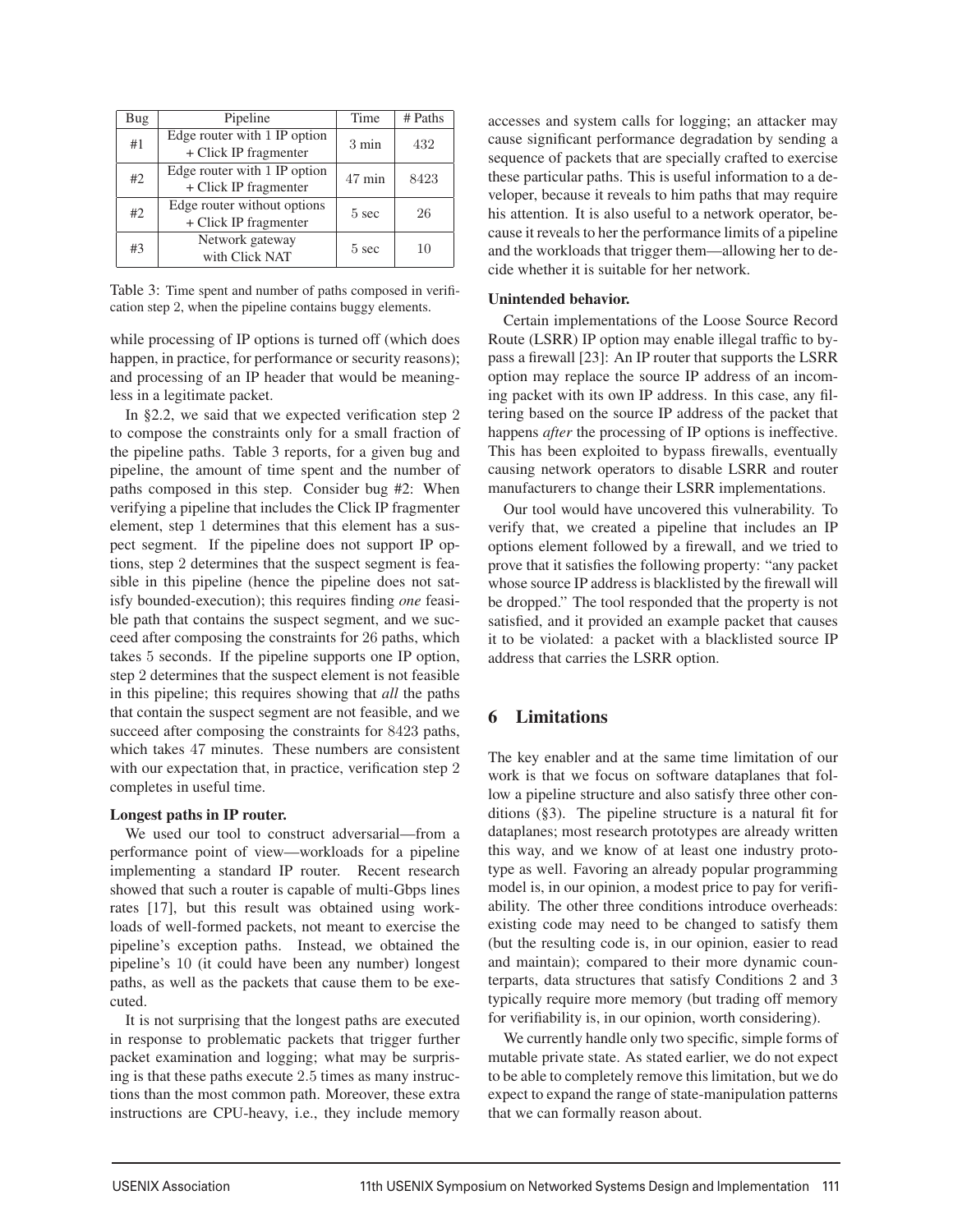| Bug | Pipeline                                              | Time            | # Paths |
|-----|-------------------------------------------------------|-----------------|---------|
| #1  | Edge router with 1 IP option<br>+ Click IP fragmenter | $3 \text{ min}$ | 432     |
| #2  | Edge router with 1 IP option<br>+ Click IP fragmenter | $47$ min        | 8423    |
| #2  | Edge router without options<br>+ Click IP fragmenter  | $5 \text{ sec}$ | 26      |
| #3  | Network gateway<br>with Click NAT                     | $5 \text{ sec}$ | 10      |

Table 3: Time spent and number of paths composed in verification step 2, when the pipeline contains buggy elements.

while processing of IP options is turned off (which does happen, in practice, for performance or security reasons); and processing of an IP header that would be meaningless in a legitimate packet.

In §2.2, we said that we expected verification step 2 to compose the constraints only for a small fraction of the pipeline paths. Table 3 reports, for a given bug and pipeline, the amount of time spent and the number of paths composed in this step. Consider bug #2: When verifying a pipeline that includes the Click IP fragmenter element, step 1 determines that this element has a suspect segment. If the pipeline does not support IP options, step 2 determines that the suspect segment is feasible in this pipeline (hence the pipeline does not satisfy bounded-execution); this requires finding *one* feasible path that contains the suspect segment, and we succeed after composing the constraints for 26 paths, which takes 5 seconds. If the pipeline supports one IP option, step 2 determines that the suspect element is not feasible in this pipeline; this requires showing that *all* the paths that contain the suspect segment are not feasible, and we succeed after composing the constraints for 8423 paths, which takes 47 minutes. These numbers are consistent with our expectation that, in practice, verification step 2 completes in useful time.

#### Longest paths in IP router.

We used our tool to construct adversarial—from a performance point of view—workloads for a pipeline implementing a standard IP router. Recent research showed that such a router is capable of multi-Gbps lines rates [17], but this result was obtained using workloads of well-formed packets, not meant to exercise the pipeline's exception paths. Instead, we obtained the pipeline's 10 (it could have been any number) longest paths, as well as the packets that cause them to be executed.

It is not surprising that the longest paths are executed in response to problematic packets that trigger further packet examination and logging; what may be surprising is that these paths execute 2.5 times as many instructions than the most common path. Moreover, these extra instructions are CPU-heavy, i.e., they include memory

accesses and system calls for logging; an attacker may cause significant performance degradation by sending a sequence of packets that are specially crafted to exercise these particular paths. This is useful information to a developer, because it reveals to him paths that may require his attention. It is also useful to a network operator, because it reveals to her the performance limits of a pipeline and the workloads that trigger them—allowing her to decide whether it is suitable for her network.

#### Unintended behavior.

Certain implementations of the Loose Source Record Route (LSRR) IP option may enable illegal traffic to bypass a firewall [23]: An IP router that supports the LSRR option may replace the source IP address of an incoming packet with its own IP address. In this case, any filtering based on the source IP address of the packet that happens *after* the processing of IP options is ineffective. This has been exploited to bypass firewalls, eventually causing network operators to disable LSRR and router manufacturers to change their LSRR implementations.

Our tool would have uncovered this vulnerability. To verify that, we created a pipeline that includes an IP options element followed by a firewall, and we tried to prove that it satisfies the following property: "any packet whose source IP address is blacklisted by the firewall will be dropped." The tool responded that the property is not satisfied, and it provided an example packet that causes it to be violated: a packet with a blacklisted source IP address that carries the LSRR option.

## 6 Limitations

The key enabler and at the same time limitation of our work is that we focus on software dataplanes that follow a pipeline structure and also satisfy three other conditions (§3). The pipeline structure is a natural fit for dataplanes; most research prototypes are already written this way, and we know of at least one industry prototype as well. Favoring an already popular programming model is, in our opinion, a modest price to pay for verifiability. The other three conditions introduce overheads: existing code may need to be changed to satisfy them (but the resulting code is, in our opinion, easier to read and maintain); compared to their more dynamic counterparts, data structures that satisfy Conditions 2 and 3 typically require more memory (but trading off memory for verifiability is, in our opinion, worth considering).

We currently handle only two specific, simple forms of mutable private state. As stated earlier, we do not expect to be able to completely remove this limitation, but we do expect to expand the range of state-manipulation patterns that we can formally reason about.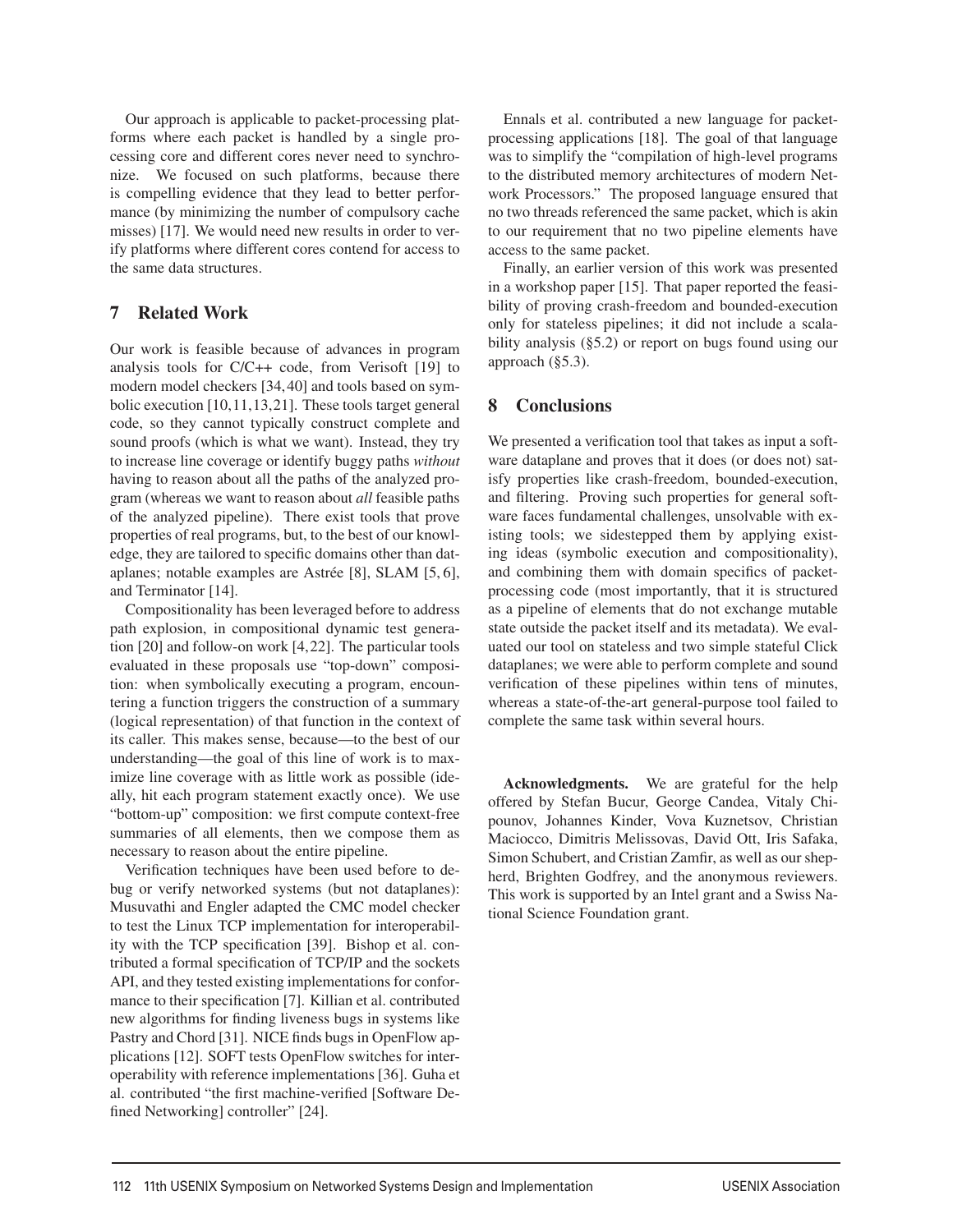Our approach is applicable to packet-processing platforms where each packet is handled by a single processing core and different cores never need to synchronize. We focused on such platforms, because there is compelling evidence that they lead to better performance (by minimizing the number of compulsory cache misses) [17]. We would need new results in order to verify platforms where different cores contend for access to the same data structures.

# 7 Related Work

Our work is feasible because of advances in program analysis tools for C/C++ code, from Verisoft [19] to modern model checkers [34, 40] and tools based on symbolic execution [10,11,13,21]. These tools target general code, so they cannot typically construct complete and sound proofs (which is what we want). Instead, they try to increase line coverage or identify buggy paths *without* having to reason about all the paths of the analyzed program (whereas we want to reason about *all* feasible paths of the analyzed pipeline). There exist tools that prove properties of real programs, but, to the best of our knowledge, they are tailored to specific domains other than dataplanes; notable examples are Astrée [8], SLAM [5, 6], and Terminator [14].

Compositionality has been leveraged before to address path explosion, in compositional dynamic test generation [20] and follow-on work [4,22]. The particular tools evaluated in these proposals use "top-down" composition: when symbolically executing a program, encountering a function triggers the construction of a summary (logical representation) of that function in the context of its caller. This makes sense, because—to the best of our understanding—the goal of this line of work is to maximize line coverage with as little work as possible (ideally, hit each program statement exactly once). We use "bottom-up" composition: we first compute context-free summaries of all elements, then we compose them as necessary to reason about the entire pipeline.

Verification techniques have been used before to debug or verify networked systems (but not dataplanes): Musuvathi and Engler adapted the CMC model checker to test the Linux TCP implementation for interoperability with the TCP specification [39]. Bishop et al. contributed a formal specification of TCP/IP and the sockets API, and they tested existing implementations for conformance to their specification [7]. Killian et al. contributed new algorithms for finding liveness bugs in systems like Pastry and Chord [31]. NICE finds bugs in OpenFlow applications [12]. SOFT tests OpenFlow switches for interoperability with reference implementations [36]. Guha et al. contributed "the first machine-verified [Software Defined Networking] controller" [24].

Ennals et al. contributed a new language for packetprocessing applications [18]. The goal of that language was to simplify the "compilation of high-level programs to the distributed memory architectures of modern Network Processors." The proposed language ensured that no two threads referenced the same packet, which is akin to our requirement that no two pipeline elements have access to the same packet.

Finally, an earlier version of this work was presented in a workshop paper [15]. That paper reported the feasibility of proving crash-freedom and bounded-execution only for stateless pipelines; it did not include a scalability analysis (§5.2) or report on bugs found using our approach (§5.3).

# 8 Conclusions

We presented a verification tool that takes as input a software dataplane and proves that it does (or does not) satisfy properties like crash-freedom, bounded-execution, and filtering. Proving such properties for general software faces fundamental challenges, unsolvable with existing tools; we sidestepped them by applying existing ideas (symbolic execution and compositionality), and combining them with domain specifics of packetprocessing code (most importantly, that it is structured as a pipeline of elements that do not exchange mutable state outside the packet itself and its metadata). We evaluated our tool on stateless and two simple stateful Click dataplanes; we were able to perform complete and sound verification of these pipelines within tens of minutes, whereas a state-of-the-art general-purpose tool failed to complete the same task within several hours.

Acknowledgments. We are grateful for the help offered by Stefan Bucur, George Candea, Vitaly Chipounov, Johannes Kinder, Vova Kuznetsov, Christian Maciocco, Dimitris Melissovas, David Ott, Iris Safaka, Simon Schubert, and Cristian Zamfir, as well as our shepherd, Brighten Godfrey, and the anonymous reviewers. This work is supported by an Intel grant and a Swiss National Science Foundation grant.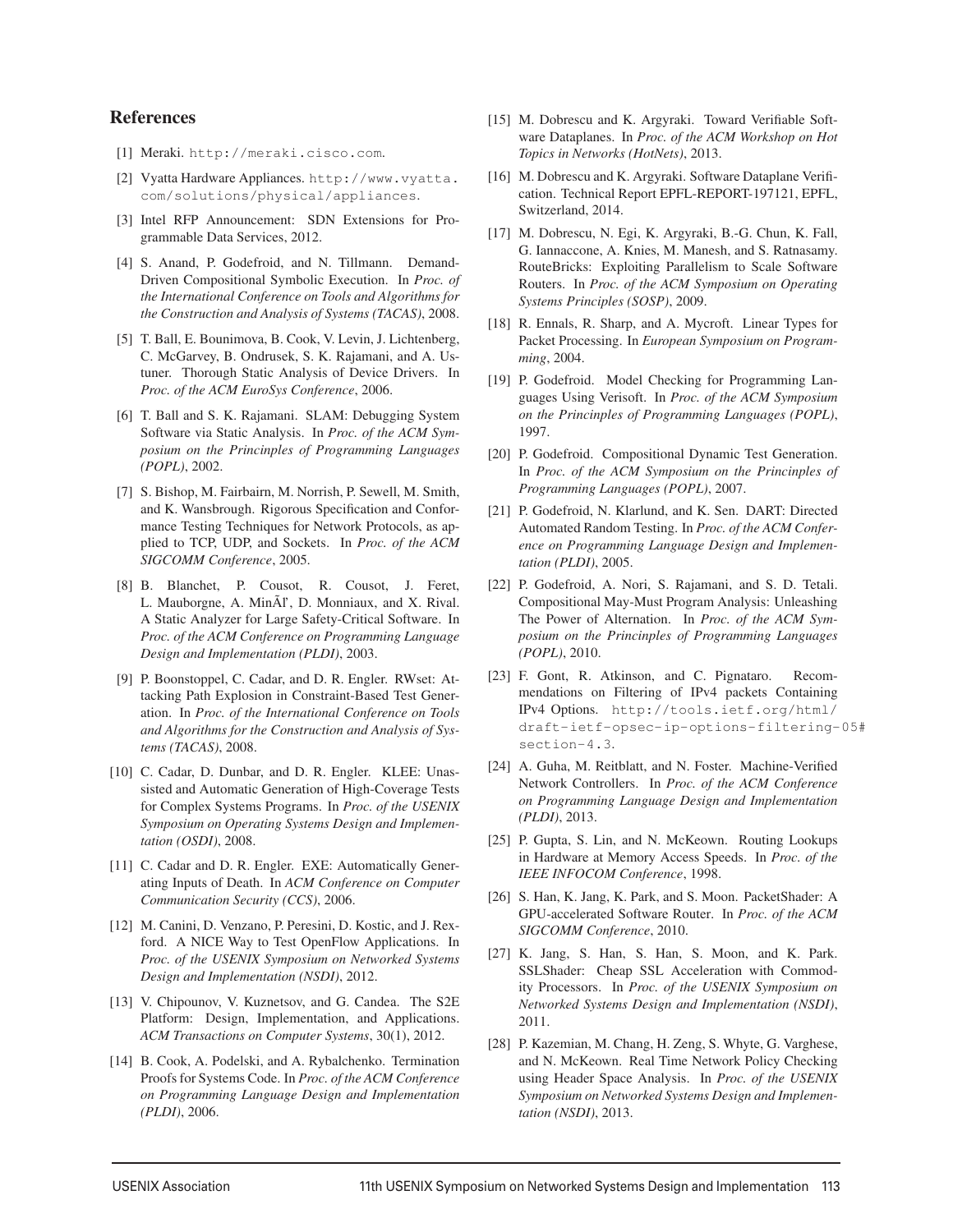#### References

- [1] Meraki. http://meraki.cisco.com.
- [2] Vyatta Hardware Appliances. http://www.vyatta. com/solutions/physical/appliances.
- [3] Intel RFP Announcement: SDN Extensions for Programmable Data Services, 2012.
- [4] S. Anand, P. Godefroid, and N. Tillmann. Demand-Driven Compositional Symbolic Execution. In *Proc. of the International Conference on Tools and Algorithms for the Construction and Analysis of Systems (TACAS)*, 2008.
- [5] T. Ball, E. Bounimova, B. Cook, V. Levin, J. Lichtenberg, C. McGarvey, B. Ondrusek, S. K. Rajamani, and A. Ustuner. Thorough Static Analysis of Device Drivers. In *Proc. of the ACM EuroSys Conference*, 2006.
- [6] T. Ball and S. K. Rajamani. SLAM: Debugging System Software via Static Analysis. In *Proc. of the ACM Symposium on the Princinples of Programming Languages (POPL)*, 2002.
- [7] S. Bishop, M. Fairbairn, M. Norrish, P. Sewell, M. Smith, and K. Wansbrough. Rigorous Specification and Conformance Testing Techniques for Network Protocols, as applied to TCP, UDP, and Sockets. In *Proc. of the ACM SIGCOMM Conference*, 2005.
- [8] B. Blanchet, P. Cousot, R. Cousot, J. Feret, L. Mauborgne, A. MinÃl', D. Monniaux, and X. Rival. A Static Analyzer for Large Safety-Critical Software. In *Proc. of the ACM Conference on Programming Language Design and Implementation (PLDI)*, 2003.
- [9] P. Boonstoppel, C. Cadar, and D. R. Engler. RWset: Attacking Path Explosion in Constraint-Based Test Generation. In *Proc. of the International Conference on Tools and Algorithms for the Construction and Analysis of Systems (TACAS)*, 2008.
- [10] C. Cadar, D. Dunbar, and D. R. Engler. KLEE: Unassisted and Automatic Generation of High-Coverage Tests for Complex Systems Programs. In *Proc. of the USENIX Symposium on Operating Systems Design and Implementation (OSDI)*, 2008.
- [11] C. Cadar and D. R. Engler. EXE: Automatically Generating Inputs of Death. In *ACM Conference on Computer Communication Security (CCS)*, 2006.
- [12] M. Canini, D. Venzano, P. Peresini, D. Kostic, and J. Rexford. A NICE Way to Test OpenFlow Applications. In *Proc. of the USENIX Symposium on Networked Systems Design and Implementation (NSDI)*, 2012.
- [13] V. Chipounov, V. Kuznetsov, and G. Candea. The S2E Platform: Design, Implementation, and Applications. *ACM Transactions on Computer Systems*, 30(1), 2012.
- [14] B. Cook, A. Podelski, and A. Rybalchenko. Termination Proofs for Systems Code. In *Proc. of the ACM Conference on Programming Language Design and Implementation (PLDI)*, 2006.
- [15] M. Dobrescu and K. Argyraki. Toward Verifiable Software Dataplanes. In *Proc. of the ACM Workshop on Hot Topics in Networks (HotNets)*, 2013.
- [16] M. Dobrescu and K. Argyraki. Software Dataplane Verification. Technical Report EPFL-REPORT-197121, EPFL, Switzerland, 2014.
- [17] M. Dobrescu, N. Egi, K. Argyraki, B.-G. Chun, K. Fall, G. Iannaccone, A. Knies, M. Manesh, and S. Ratnasamy. RouteBricks: Exploiting Parallelism to Scale Software Routers. In *Proc. of the ACM Symposium on Operating Systems Principles (SOSP)*, 2009.
- [18] R. Ennals, R. Sharp, and A. Mycroft. Linear Types for Packet Processing. In *European Symposium on Programming*, 2004.
- [19] P. Godefroid. Model Checking for Programming Languages Using Verisoft. In *Proc. of the ACM Symposium on the Princinples of Programming Languages (POPL)*, 1997.
- [20] P. Godefroid. Compositional Dynamic Test Generation. In *Proc. of the ACM Symposium on the Princinples of Programming Languages (POPL)*, 2007.
- [21] P. Godefroid, N. Klarlund, and K. Sen. DART: Directed Automated Random Testing. In *Proc. of the ACM Conference on Programming Language Design and Implementation (PLDI)*, 2005.
- [22] P. Godefroid, A. Nori, S. Rajamani, and S. D. Tetali. Compositional May-Must Program Analysis: Unleashing The Power of Alternation. In *Proc. of the ACM Symposium on the Princinples of Programming Languages (POPL)*, 2010.
- [23] F. Gont, R. Atkinson, and C. Pignataro. Recommendations on Filtering of IPv4 packets Containing IPv4 Options. http://tools.ietf.org/html/ draft-ietf-opsec-ip-options-filtering-05# section-4.3.
- [24] A. Guha, M. Reitblatt, and N. Foster. Machine-Verified Network Controllers. In *Proc. of the ACM Conference on Programming Language Design and Implementation (PLDI)*, 2013.
- [25] P. Gupta, S. Lin, and N. McKeown. Routing Lookups in Hardware at Memory Access Speeds. In *Proc. of the IEEE INFOCOM Conference*, 1998.
- [26] S. Han, K. Jang, K. Park, and S. Moon. PacketShader: A GPU-accelerated Software Router. In *Proc. of the ACM SIGCOMM Conference*, 2010.
- [27] K. Jang, S. Han, S. Han, S. Moon, and K. Park. SSLShader: Cheap SSL Acceleration with Commodity Processors. In *Proc. of the USENIX Symposium on Networked Systems Design and Implementation (NSDI)*, 2011.
- [28] P. Kazemian, M. Chang, H. Zeng, S. Whyte, G. Varghese, and N. McKeown. Real Time Network Policy Checking using Header Space Analysis. In *Proc. of the USENIX Symposium on Networked Systems Design and Implementation (NSDI)*, 2013.